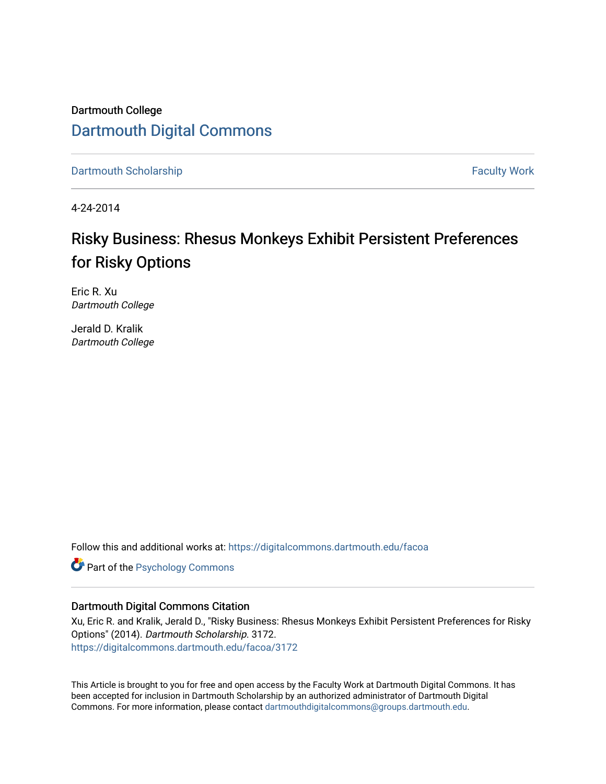Dartmouth College [Dartmouth Digital Commons](https://digitalcommons.dartmouth.edu/) 

[Dartmouth Scholarship](https://digitalcommons.dartmouth.edu/facoa) Faculty Work

4-24-2014

# Risky Business: Rhesus Monkeys Exhibit Persistent Preferences for Risky Options

Eric R. Xu Dartmouth College

Jerald D. Kralik Dartmouth College

Follow this and additional works at: [https://digitalcommons.dartmouth.edu/facoa](https://digitalcommons.dartmouth.edu/facoa?utm_source=digitalcommons.dartmouth.edu%2Ffacoa%2F3172&utm_medium=PDF&utm_campaign=PDFCoverPages)

**Part of the Psychology Commons** 

# Dartmouth Digital Commons Citation

Xu, Eric R. and Kralik, Jerald D., "Risky Business: Rhesus Monkeys Exhibit Persistent Preferences for Risky Options" (2014). Dartmouth Scholarship. 3172. [https://digitalcommons.dartmouth.edu/facoa/3172](https://digitalcommons.dartmouth.edu/facoa/3172?utm_source=digitalcommons.dartmouth.edu%2Ffacoa%2F3172&utm_medium=PDF&utm_campaign=PDFCoverPages) 

This Article is brought to you for free and open access by the Faculty Work at Dartmouth Digital Commons. It has been accepted for inclusion in Dartmouth Scholarship by an authorized administrator of Dartmouth Digital Commons. For more information, please contact [dartmouthdigitalcommons@groups.dartmouth.edu](mailto:dartmouthdigitalcommons@groups.dartmouth.edu).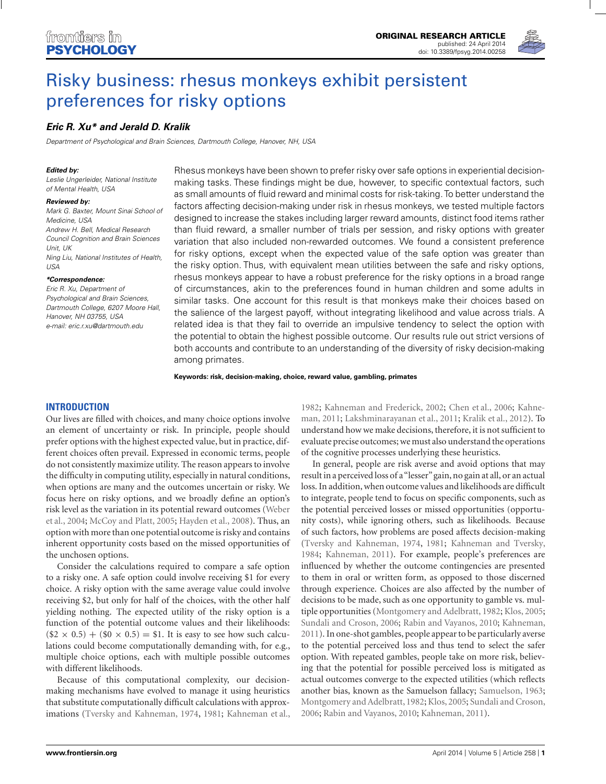

# [Risky business: rhesus monkeys exhibit persistent](http://www.frontiersin.org/Journal/10.3389/fpsyg.2014.00258/abstract) preferences for risky options

## *[Eric R. Xu\\*](http://community.frontiersin.org/people/u/124214) and [Jerald D. Kralik](http://community.frontiersin.org/people/u/110299)*

Department of Psychological and Brain Sciences, Dartmouth College, Hanover, NH, USA

#### *Edited by:*

Leslie Ungerleider, National Institute of Mental Health, USA

#### *Reviewed by:*

Mark G. Baxter, Mount Sinai School of Medicine, USA Andrew H. Bell, Medical Research Council Cognition and Brain Sciences Unit, UK Ning Liu, National Institutes of Health, USA

#### *\*Correspondence:*

Eric R. Xu, Department of Psychological and Brain Sciences, Dartmouth College, 6207 Moore Hall, Hanover, NH 03755, USA e-mail: [eric.r.xu@dartmouth.edu](mailto:eric.r.xu@dartmouth.edu)

Rhesus monkeys have been shown to prefer risky over safe options in experiential decisionmaking tasks. These findings might be due, however, to specific contextual factors, such as small amounts of fluid reward and minimal costs for risk-taking. To better understand the factors affecting decision-making under risk in rhesus monkeys, we tested multiple factors designed to increase the stakes including larger reward amounts, distinct food items rather than fluid reward, a smaller number of trials per session, and risky options with greater variation that also included non-rewarded outcomes. We found a consistent preference for risky options, except when the expected value of the safe option was greater than the risky option. Thus, with equivalent mean utilities between the safe and risky options, rhesus monkeys appear to have a robust preference for the risky options in a broad range of circumstances, akin to the preferences found in human children and some adults in similar tasks. One account for this result is that monkeys make their choices based on the salience of the largest payoff, without integrating likelihood and value across trials. A related idea is that they fail to override an impulsive tendency to select the option with the potential to obtain the highest possible outcome. Our results rule out strict versions of both accounts and contribute to an understanding of the diversity of risky decision-making among primates.

#### **Keywords: risk, decision-making, choice, reward value, gambling, primates**

## **INTRODUCTION**

Our lives are filled with choices, and many choice options involve an element of uncertainty or risk. In principle, people should prefer options with the highest expected value, but in practice, different choices often prevail. Expressed in economic terms, people do not consistently maximize utility. The reason appears to involve the difficulty in computing utility, especially in natural conditions, when options are many and the outcomes uncertain or risky. We focus here on risky options, and we broadly define an option's risk [level as the variation in its potential reward outcomes \(](#page-12-0)Weber et al., [2004](#page-12-0); [McCoy and Platt](#page-11-0), [2005;](#page-11-0) [Hayden et al., 2008](#page-11-0)). Thus, an option with more than one potential outcome is risky and contains inherent opportunity costs based on the missed opportunities of the unchosen options.

Consider the calculations required to compare a safe option to a risky one. A safe option could involve receiving \$1 for every choice. A risky option with the same average value could involve receiving \$2, but only for half of the choices, with the other half yielding nothing. The expected utility of the risky option is a function of the potential outcome values and their likelihoods:  $($2 \times 0.5) + ($0 \times 0.5) = $1.$  It is easy to see how such calculations could become computationally demanding with, for e.g., multiple choice options, each with multiple possible outcomes with different likelihoods.

Because of this computational complexity, our decisionmaking mechanisms have evolved to manage it using heuristics that substitute computationally difficult calculations with approximations [\(Tversky and Kahneman](#page-11-0), [1974,](#page-11-0) [1981;](#page-11-0) [Kahneman et al.](#page-11-0), [1982](#page-11-0); [Kahneman and Frederick, 2002;](#page-11-0) [Chen et al., 2006;](#page-10-0) Kahneman, [2011;](#page-11-0) [Lakshminarayanan et al.](#page-11-0), [2011;](#page-11-0) [Kralik et al., 2012](#page-11-0)). To understand how we make decisions, therefore, it is not sufficient to evaluate precise outcomes; we must also understand the operations of the cognitive processes underlying these heuristics.

In general, people are risk averse and avoid options that may result in a perceived loss of a"lesser"gain, no gain at all, or an actual loss. In addition, when outcome values and likelihoods are difficult to integrate, people tend to focus on specific components, such as the potential perceived losses or missed opportunities (opportunity costs), while ignoring others, such as likelihoods. Because of such factors, how problems are posed affects decision-making [\(Tversky and Kahneman, 1974,](#page-11-0) [1981;](#page-11-0) [Kahneman and Tversky,](#page-11-0) [1984](#page-11-0); [Kahneman](#page-11-0), [2011](#page-11-0)). For example, people's preferences are influenced by whether the outcome contingencies are presented to them in oral or written form, as opposed to those discerned through experience. Choices are also affected by the number of decisions to be made, such as one opportunity to gamble vs. multiple opportunities [\(Montgomery and Adelbratt, 1982;](#page-11-0) [Klos, 2005;](#page-11-0) [Sundali and Croson](#page-11-0), [2006;](#page-11-0) [Rabin and Vayanos](#page-11-0), [2010;](#page-11-0) [Kahneman,](#page-11-0) [2011](#page-11-0)). In one-shot gambles, people appear to be particularly averse to the potential perceived loss and thus tend to select the safer option. With repeated gambles, people take on more risk, believing that the potential for possible perceived loss is mitigated as actual outcomes converge to the expected utilities (which reflects another bias, known as the Samuelson fallacy; [Samuelson, 1963;](#page-11-0) [Montgomery and Adelbratt](#page-11-0), [1982;](#page-11-0) [Klos, 2005](#page-11-0); [Sundali and Croson,](#page-11-0) [2006](#page-11-0); [Rabin and Vayanos, 2010](#page-11-0); [Kahneman, 2011](#page-11-0)).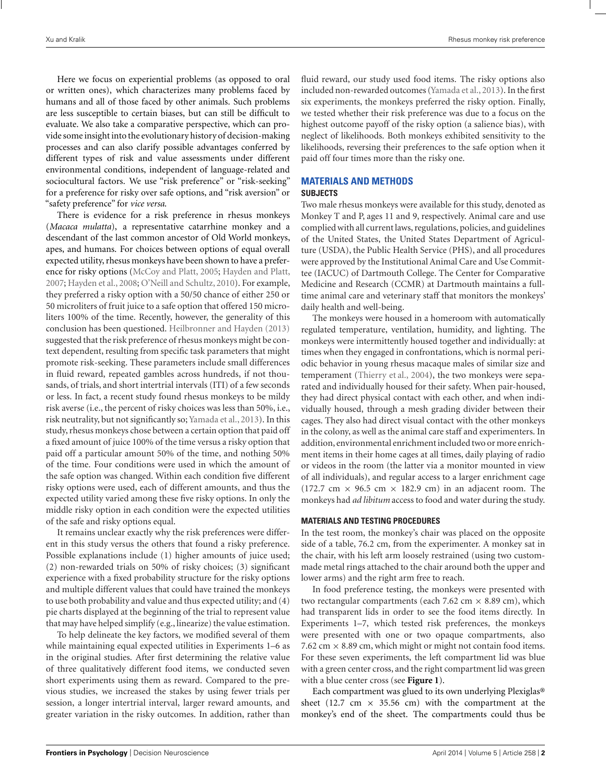Here we focus on experiential problems (as opposed to oral or written ones), which characterizes many problems faced by humans and all of those faced by other animals. Such problems are less susceptible to certain biases, but can still be difficult to evaluate. We also take a comparative perspective, which can provide some insight into the evolutionary history of decision-making processes and can also clarify possible advantages conferred by different types of risk and value assessments under different environmental conditions, independent of language-related and sociocultural factors. We use "risk preference" or "risk-seeking" for a preference for risky over safe options, and "risk aversion" or "safety preference" for *vice versa*.

There is evidence for a risk preference in rhesus monkeys (*Macaca mulatta*), a representative catarrhine monkey and a descendant of the last common ancestor of Old World monkeys, apes, and humans. For choices between options of equal overall expected utility, rhesus monkeys have been shown to have a preference for risky options [\(McCoy and Platt](#page-11-0), [2005;](#page-11-0) [Hayden and Platt,](#page-11-0) [2007;](#page-11-0) [Hayden et al., 2008;](#page-11-0) [O'Neill and Schultz](#page-11-0), [2010](#page-11-0)). For example, they preferred a risky option with a 50/50 chance of either 250 or 50 microliters of fruit juice to a safe option that offered 150 microliters 100% of the time. Recently, however, the generality of this conclusion has been questioned. [Heilbronner and Hayden](#page-11-0) [\(2013](#page-11-0)) suggested that the risk preference of rhesus monkeys might be context dependent, resulting from specific task parameters that might promote risk-seeking. These parameters include small differences in fluid reward, repeated gambles across hundreds, if not thousands, of trials, and short intertrial intervals (ITI) of a few seconds or less. In fact, a recent study found rhesus monkeys to be mildy risk averse (i.e., the percent of risky choices was less than 50%, i.e., risk neutrality, but not significantly so; [Yamada et al., 2013\)](#page-12-0). In this study, rhesus monkeys chose between a certain option that paid off a fixed amount of juice 100% of the time versus a risky option that paid off a particular amount 50% of the time, and nothing 50% of the time. Four conditions were used in which the amount of the safe option was changed. Within each condition five different risky options were used, each of different amounts, and thus the expected utility varied among these five risky options. In only the middle risky option in each condition were the expected utilities of the safe and risky options equal.

It remains unclear exactly why the risk preferences were different in this study versus the others that found a risky preference. Possible explanations include (1) higher amounts of juice used; (2) non-rewarded trials on 50% of risky choices; (3) significant experience with a fixed probability structure for the risky options and multiple different values that could have trained the monkeys to use both probability and value and thus expected utility; and (4) pie charts displayed at the beginning of the trial to represent value that may have helped simplify (e.g., linearize) the value estimation.

To help delineate the key factors, we modified several of them while maintaining equal expected utilities in Experiments 1–6 as in the original studies. After first determining the relative value of three qualitatively different food items, we conducted seven short experiments using them as reward. Compared to the previous studies, we increased the stakes by using fewer trials per session, a longer intertrial interval, larger reward amounts, and greater variation in the risky outcomes. In addition, rather than fluid reward, our study used food items. The risky options also included non-rewarded outcomes [\(Yamada et al., 2013](#page-12-0)). In the first six experiments, the monkeys preferred the risky option. Finally, we tested whether their risk preference was due to a focus on the highest outcome payoff of the risky option (a salience bias), with neglect of likelihoods. Both monkeys exhibited sensitivity to the likelihoods, reversing their preferences to the safe option when it paid off four times more than the risky one.

# **MATERIALS AND METHODS**

## **SUBJECTS**

Two male rhesus monkeys were available for this study, denoted as Monkey T and P, ages 11 and 9, respectively. Animal care and use complied with all current laws, regulations, policies, and guidelines of the United States, the United States Department of Agriculture (USDA), the Public Health Service (PHS), and all procedures were approved by the Institutional Animal Care and Use Committee (IACUC) of Dartmouth College. The Center for Comparative Medicine and Research (CCMR) at Dartmouth maintains a fulltime animal care and veterinary staff that monitors the monkeys' daily health and well-being.

The monkeys were housed in a homeroom with automatically regulated temperature, ventilation, humidity, and lighting. The monkeys were intermittently housed together and individually: at times when they engaged in confrontations, which is normal periodic behavior in young rhesus macaque males of similar size and temperament [\(Thierry et al., 2004\)](#page-11-0), the two monkeys were separated and individually housed for their safety. When pair-housed, they had direct physical contact with each other, and when individually housed, through a mesh grading divider between their cages. They also had direct visual contact with the other monkeys in the colony, as well as the animal care staff and experimenters. In addition, environmental enrichment included two or more enrichment items in their home cages at all times, daily playing of radio or videos in the room (the latter via a monitor mounted in view of all individuals), and regular access to a larger enrichment cage (172.7 cm  $\times$  96.5 cm  $\times$  182.9 cm) in an adjacent room. The monkeys had *ad libitum* access to food and water during the study.

## **MATERIALS AND TESTING PROCEDURES**

In the test room, the monkey's chair was placed on the opposite side of a table, 76.2 cm, from the experimenter. A monkey sat in the chair, with his left arm loosely restrained (using two custommade metal rings attached to the chair around both the upper and lower arms) and the right arm free to reach.

In food preference testing, the monkeys were presented with two rectangular compartments (each 7.62 cm  $\times$  8.89 cm), which had transparent lids in order to see the food items directly. In Experiments 1–7, which tested risk preferences, the monkeys were presented with one or two opaque compartments, also 7.62 cm  $\times$  8.89 cm, which might or might not contain food items. For these seven experiments, the left compartment lid was blue with a green center cross, and the right compartment lid was green with a blue center cross (see **[Figure 1](#page-3-0)**).

Each compartment was glued to its own underlying Plexiglas® sheet (12.7 cm  $\times$  35.56 cm) with the compartment at the monkey's end of the sheet. The compartments could thus be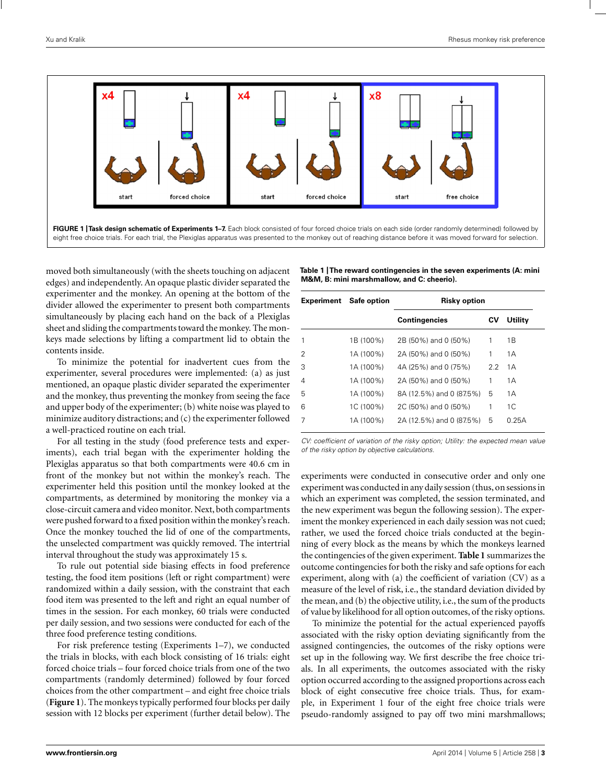<span id="page-3-0"></span>

moved both simultaneously (with the sheets touching on adjacent edges) and independently. An opaque plastic divider separated the experimenter and the monkey. An opening at the bottom of the divider allowed the experimenter to present both compartments simultaneously by placing each hand on the back of a Plexiglas sheet and sliding the compartments toward the monkey. The monkeys made selections by lifting a compartment lid to obtain the contents inside.

To minimize the potential for inadvertent cues from the experimenter, several procedures were implemented: (a) as just mentioned, an opaque plastic divider separated the experimenter and the monkey, thus preventing the monkey from seeing the face and upper body of the experimenter; (b) white noise was played to minimize auditory distractions; and (c) the experimenter followed a well-practiced routine on each trial.

For all testing in the study (food preference tests and experiments), each trial began with the experimenter holding the Plexiglas apparatus so that both compartments were 40.6 cm in front of the monkey but not within the monkey's reach. The experimenter held this position until the monkey looked at the compartments, as determined by monitoring the monkey via a close-circuit camera and video monitor. Next, both compartments were pushed forward to a fixed position within the monkey's reach. Once the monkey touched the lid of one of the compartments, the unselected compartment was quickly removed. The intertrial interval throughout the study was approximately 15 s.

To rule out potential side biasing effects in food preference testing, the food item positions (left or right compartment) were randomized within a daily session, with the constraint that each food item was presented to the left and right an equal number of times in the session. For each monkey, 60 trials were conducted per daily session, and two sessions were conducted for each of the three food preference testing conditions.

For risk preference testing (Experiments 1–7), we conducted the trials in blocks, with each block consisting of 16 trials: eight forced choice trials – four forced choice trials from one of the two compartments (randomly determined) followed by four forced choices from the other compartment – and eight free choice trials (**Figure 1**). The monkeys typically performed four blocks per daily session with 12 blocks per experiment (further detail below). The

| Table 1   The reward contingencies in the seven experiments (A: mini |
|----------------------------------------------------------------------|
| M&M, B: mini marshmallow, and C: cheerio).                           |

| <b>Experiment</b> Safe option |           | <b>Risky option</b>      |     |         |  |  |
|-------------------------------|-----------|--------------------------|-----|---------|--|--|
|                               |           | <b>Contingencies</b>     | CV  | Utility |  |  |
| 1                             | 1B (100%) | 2B (50%) and 0 (50%)     | 1   | 1 B     |  |  |
| 2                             | 1A (100%) | 2A (50%) and 0 (50%)     | 1   | 1 A     |  |  |
| 3                             | 1A (100%) | 4A (25%) and 0 (75%)     | 2.2 | 1 A     |  |  |
| $\overline{4}$                | 1A (100%) | 2A (50%) and 0 (50%)     | 1   | 1A      |  |  |
| 5                             | 1A (100%) | 8A (12.5%) and 0 (87.5%) | 5   | 1A      |  |  |
| 6                             | 1C (100%) | 2C (50%) and 0 (50%)     | 1   | 1C      |  |  |
| 7                             | 1A (100%) | 2A (12.5%) and 0 (87.5%) | 5   | 0.25A   |  |  |

CV: coefficient of variation of the risky option; Utility: the expected mean value of the risky option by objective calculations.

experiments were conducted in consecutive order and only one experiment was conducted in any daily session (thus, on sessions in which an experiment was completed, the session terminated, and the new experiment was begun the following session). The experiment the monkey experienced in each daily session was not cued; rather, we used the forced choice trials conducted at the beginning of every block as the means by which the monkeys learned the contingencies of the given experiment. **Table 1** summarizes the outcome contingencies for both the risky and safe options for each experiment, along with (a) the coefficient of variation (CV) as a measure of the level of risk, i.e., the standard deviation divided by the mean, and (b) the objective utility, i.e., the sum of the products of value by likelihood for all option outcomes, of the risky options.

To minimize the potential for the actual experienced payoffs associated with the risky option deviating significantly from the assigned contingencies, the outcomes of the risky options were set up in the following way. We first describe the free choice trials. In all experiments, the outcomes associated with the risky option occurred according to the assigned proportions across each block of eight consecutive free choice trials. Thus, for example, in Experiment 1 four of the eight free choice trials were pseudo-randomly assigned to pay off two mini marshmallows;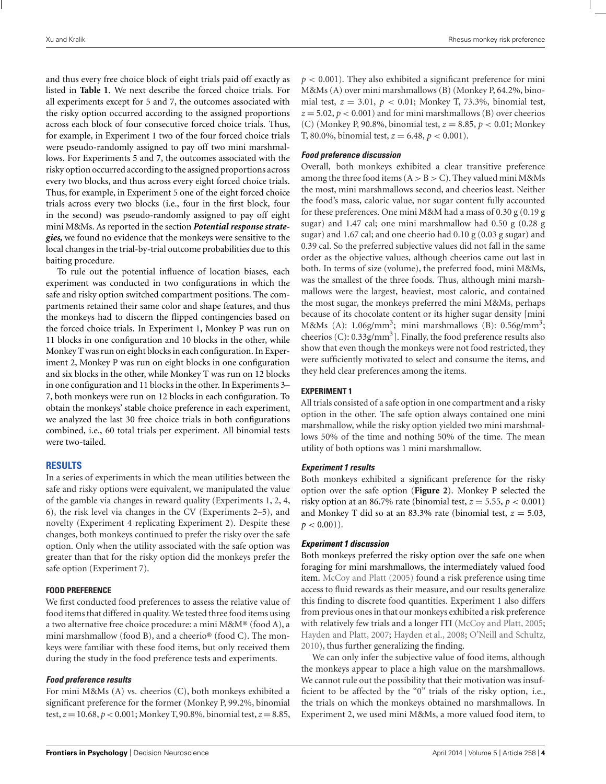and thus every free choice block of eight trials paid off exactly as listed in **[Table 1](#page-3-0)**. We next describe the forced choice trials. For all experiments except for 5 and 7, the outcomes associated with the risky option occurred according to the assigned proportions across each block of four consecutive forced choice trials. Thus, for example, in Experiment 1 two of the four forced choice trials were pseudo-randomly assigned to pay off two mini marshmallows. For Experiments 5 and 7, the outcomes associated with the risky option occurred according to the assigned proportions across every two blocks, and thus across every eight forced choice trials. Thus, for example, in Experiment 5 one of the eight forced choice trials across every two blocks (i.e., four in the first block, four in the second) was pseudo-randomly assigned to pay off eight mini M&Ms. As reported in the section *Potential response strategies,* we found no evidence that the monkeys were sensitive to the local changes in the trial-by-trial outcome probabilities due to this baiting procedure.

To rule out the potential influence of location biases, each experiment was conducted in two configurations in which the safe and risky option switched compartment positions. The compartments retained their same color and shape features, and thus the monkeys had to discern the flipped contingencies based on the forced choice trials. In Experiment 1, Monkey P was run on 11 blocks in one configuration and 10 blocks in the other, while Monkey T was run on eight blocks in each configuration. In Experiment 2, Monkey P was run on eight blocks in one configuration and six blocks in the other, while Monkey T was run on 12 blocks in one configuration and 11 blocks in the other. In Experiments 3– 7, both monkeys were run on 12 blocks in each configuration. To obtain the monkeys' stable choice preference in each experiment, we analyzed the last 30 free choice trials in both configurations combined, i.e., 60 total trials per experiment. All binomial tests were two-tailed.

## **RESULTS**

In a series of experiments in which the mean utilities between the safe and risky options were equivalent, we manipulated the value of the gamble via changes in reward quality (Experiments 1, 2, 4, 6), the risk level via changes in the CV (Experiments 2–5), and novelty (Experiment 4 replicating Experiment 2). Despite these changes, both monkeys continued to prefer the risky over the safe option. Only when the utility associated with the safe option was greater than that for the risky option did the monkeys prefer the safe option (Experiment 7).

### **FOOD PREFERENCE**

We first conducted food preferences to assess the relative value of food items that differed in quality. We tested three food items using a two alternative free choice procedure: a mini M&M® (food A), a mini marshmallow (food B), and a cheerio® (food C). The monkeys were familiar with these food items, but only received them during the study in the food preference tests and experiments.

## *Food preference results*

For mini M&Ms (A) vs. cheerios (C), both monkeys exhibited a significant preference for the former (Monkey P, 99.2%, binomial test,*z* =10.68, *p*<0.001; Monkey T,90.8%, binomial test,*z* =8.85,  $p < 0.001$ ). They also exhibited a significant preference for mini M&Ms (A) over mini marshmallows (B) (Monkey P, 64.2%, binomial test,  $z = 3.01$ ,  $p < 0.01$ ; Monkey T, 73.3%, binomial test,  $z = 5.02$ ,  $p < 0.001$ ) and for mini marshmallows (B) over cheerios (C) (Monkey P, 90.8%, binomial test, *z* = 8.85, *p* < 0.01; Monkey T, 80.0%, binomial test,  $z = 6.48$ ,  $p < 0.001$ ).

## *Food preference discussion*

Overall, both monkeys exhibited a clear transitive preference among the three food items  $(A > B > C)$ . They valued mini M&Ms the most, mini marshmallows second, and cheerios least. Neither the food's mass, caloric value, nor sugar content fully accounted for these preferences. One mini M&M had a mass of 0.30 g (0.19 g sugar) and 1.47 cal; one mini marshmallow had 0.50 g (0.28 g sugar) and 1.67 cal; and one cheerio had 0.10 g (0.03 g sugar) and 0.39 cal. So the preferred subjective values did not fall in the same order as the objective values, although cheerios came out last in both. In terms of size (volume), the preferred food, mini M&Ms, was the smallest of the three foods. Thus, although mini marshmallows were the largest, heaviest, most caloric, and contained the most sugar, the monkeys preferred the mini M&Ms, perhaps because of its chocolate content or its higher sugar density [mini M&Ms (A):  $1.06g/mm^3$ ; mini marshmallows (B):  $0.56g/mm^3$ ; cheerios  $(C)$ : 0.33g/mm<sup>3</sup>]. Finally, the food preference results also show that even though the monkeys were not food restricted, they were sufficiently motivated to select and consume the items, and they held clear preferences among the items.

## **EXPERIMENT 1**

All trials consisted of a safe option in one compartment and a risky option in the other. The safe option always contained one mini marshmallow, while the risky option yielded two mini marshmallows 50% of the time and nothing 50% of the time. The mean utility of both options was 1 mini marshmallow.

#### *Experiment 1 results*

Both monkeys exhibited a significant preference for the risky option over the safe option (**[Figure 2](#page-5-0)**). Monkey P selected the risky option at an 86.7% rate (binomial test,  $z = 5.55$ ,  $p < 0.001$ ) and Monkey T did so at an 83.3% rate (binomial test,  $z = 5.03$ ,  $p < 0.001$ ).

#### *Experiment 1 discussion*

Both monkeys preferred the risky option over the safe one when foraging for mini marshmallows, the intermediately valued food item. [McCoy and Platt](#page-11-0) [\(2005\)](#page-11-0) found a risk preference using time access to fluid rewards as their measure, and our results generalize this finding to discrete food quantities. Experiment 1 also differs from previous ones in that our monkeys exhibited a risk preference with relatively few trials and a longer ITI [\(McCoy and Platt](#page-11-0), [2005;](#page-11-0) [Hayden and Platt, 2007](#page-11-0); [Hayden et al.](#page-11-0), [2008;](#page-11-0) [O'Neill and Schultz,](#page-11-0) [2010](#page-11-0)), thus further generalizing the finding.

We can only infer the subjective value of food items, although the monkeys appear to place a high value on the marshmallows. We cannot rule out the possibility that their motivation was insufficient to be affected by the "0" trials of the risky option, i.e., the trials on which the monkeys obtained no marshmallows. In Experiment 2, we used mini M&Ms, a more valued food item, to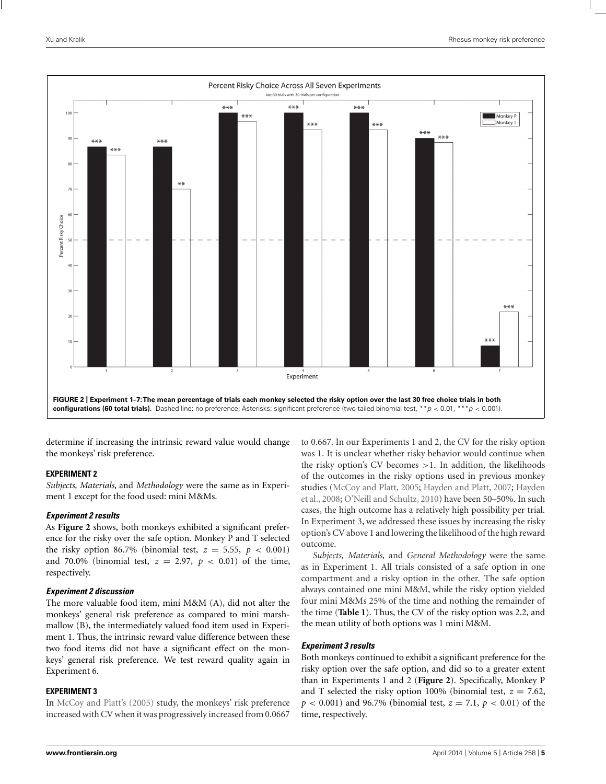<span id="page-5-0"></span>

determine if increasing the intrinsic reward value would change the monkeys' risk preference.

### **EXPERIMENT 2**

*Subjects, Materials,* and *Methodology* were the same as in Experiment 1 except for the food used: mini M&Ms.

## *Experiment 2 results*

As **Figure 2** shows, both monkeys exhibited a significant preference for the risky over the safe option. Monkey P and T selected the risky option 86.7% (binomial test,  $z = 5.55$ ,  $p < 0.001$ ) and 70.0% (binomial test,  $z = 2.97$ ,  $p < 0.01$ ) of the time, respectively.

## *Experiment 2 discussion*

The more valuable food item, mini M&M (A), did not alter the monkeys' general risk preference as compared to mini marshmallow (B), the intermediately valued food item used in Experiment 1. Thus, the intrinsic reward value difference between these two food items did not have a significant effect on the monkeys' general risk preference. We test reward quality again in Experiment 6.

## **EXPERIMENT 3**

In [McCoy and Platt](#page-11-0)'s [\(2005](#page-11-0)) study, the monkeys' risk preference increased with CV when it was progressively increased from 0.0667

to 0.667. In our Experiments 1 and 2, the CV for the risky option was 1. It is unclear whether risky behavior would continue when the risky option's CV becomes  $>1$ . In addition, the likelihoods of the outcomes in the risky options used in previous monkey studies [\(McCoy and Platt, 2005](#page-11-0); [Hayden and Platt](#page-11-0), [2007;](#page-11-0) Hayden et al., [2008;](#page-11-0) [O'Neill and Schultz](#page-11-0), [2010](#page-11-0)) have been 50–50%. In such cases, the high outcome has a relatively high possibility per trial. In Experiment 3, we addressed these issues by increasing the risky option's CV above 1 and lowering the likelihood of the high reward outcome.

*Subjects, Materials,* and *General Methodology* were the same as in Experiment 1. All trials consisted of a safe option in one compartment and a risky option in the other. The safe option always contained one mini M&M, while the risky option yielded four mini M&Ms 25% of the time and nothing the remainder of the time (**[Table 1](#page-3-0)**). Thus, the CV of the risky option was 2.2, and the mean utility of both options was 1 mini M&M.

## *Experiment 3 results*

Both monkeys continued to exhibit a significant preference for the risky option over the safe option, and did so to a greater extent than in Experiments 1 and 2 (**Figure 2**). Specifically, Monkey P and T selected the risky option 100% (binomial test,  $z = 7.62$ ,  $p < 0.001$ ) and 96.7% (binomial test,  $z = 7.1$ ,  $p < 0.01$ ) of the time, respectively.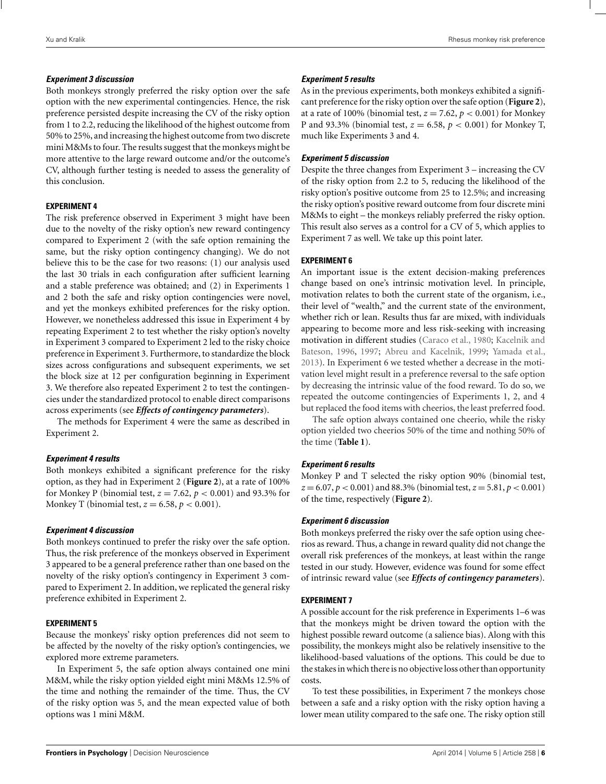## *Experiment 3 discussion*

Both monkeys strongly preferred the risky option over the safe option with the new experimental contingencies. Hence, the risk preference persisted despite increasing the CV of the risky option from 1 to 2.2, reducing the likelihood of the highest outcome from 50% to 25%, and increasing the highest outcome from two discrete mini M&Ms to four. The results suggest that the monkeys might be more attentive to the large reward outcome and/or the outcome's CV, although further testing is needed to assess the generality of this conclusion.

## **EXPERIMENT 4**

The risk preference observed in Experiment 3 might have been due to the novelty of the risky option's new reward contingency compared to Experiment 2 (with the safe option remaining the same, but the risky option contingency changing). We do not believe this to be the case for two reasons: (1) our analysis used the last 30 trials in each configuration after sufficient learning and a stable preference was obtained; and (2) in Experiments 1 and 2 both the safe and risky option contingencies were novel, and yet the monkeys exhibited preferences for the risky option. However, we nonetheless addressed this issue in Experiment 4 by repeating Experiment 2 to test whether the risky option's novelty in Experiment 3 compared to Experiment 2 led to the risky choice preference in Experiment 3. Furthermore, to standardize the block sizes across configurations and subsequent experiments, we set the block size at 12 per configuration beginning in Experiment 3. We therefore also repeated Experiment 2 to test the contingencies under the standardized protocol to enable direct comparisons across experiments (see *Effects of contingency parameters*).

The methods for Experiment 4 were the same as described in Experiment 2.

## *Experiment 4 results*

Both monkeys exhibited a significant preference for the risky option, as they had in Experiment 2 (**[Figure 2](#page-5-0)**), at a rate of 100% for Monkey P (binomial test, *z* = 7.62, *p* < 0.001) and 93.3% for Monkey T (binomial test,  $z = 6.58$ ,  $p < 0.001$ ).

## *Experiment 4 discussion*

Both monkeys continued to prefer the risky over the safe option. Thus, the risk preference of the monkeys observed in Experiment 3 appeared to be a general preference rather than one based on the novelty of the risky option's contingency in Experiment 3 compared to Experiment 2. In addition, we replicated the general risky preference exhibited in Experiment 2.

## **EXPERIMENT 5**

Because the monkeys' risky option preferences did not seem to be affected by the novelty of the risky option's contingencies, we explored more extreme parameters.

In Experiment 5, the safe option always contained one mini M&M, while the risky option yielded eight mini M&Ms 12.5% of the time and nothing the remainder of the time. Thus, the CV of the risky option was 5, and the mean expected value of both options was 1 mini M&M.

## *Experiment 5 results*

As in the previous experiments, both monkeys exhibited a significant preference for the risky option over the safe option (**[Figure 2](#page-5-0)**), at a rate of 100% (binomial test,  $z = 7.62$ ,  $p < 0.001$ ) for Monkey P and 93.3% (binomial test, *z* = 6.58, *p* < 0.001) for Monkey T, much like Experiments 3 and 4.

## *Experiment 5 discussion*

Despite the three changes from Experiment 3 – increasing the CV of the risky option from 2.2 to 5, reducing the likelihood of the risky option's positive outcome from 25 to 12.5%; and increasing the risky option's positive reward outcome from four discrete mini M&Ms to eight – the monkeys reliably preferred the risky option. This result also serves as a control for a CV of 5, which applies to Experiment 7 as well. We take up this point later.

## **EXPERIMENT 6**

An important issue is the extent decision-making preferences change based on one's intrinsic motivation level. In principle, motivation relates to both the current state of the organism, i.e., their level of "wealth," and the current state of the environment, whether rich or lean. Results thus far are mixed, with individuals appearing to become more and less risk-seeking with increasing motivat[ion](#page-11-0) [in](#page-11-0) [different](#page-11-0) [studies](#page-11-0) [\(Caraco et al.](#page-10-0)[,](#page-11-0) [1980](#page-10-0)[;](#page-11-0) Kacelnik and Bateson, [1996](#page-11-0), [1997](#page-11-0); [Abreu and Kacelnik](#page-10-0), [1999](#page-10-0); [Yamada et al.,](#page-12-0) [2013](#page-12-0)). In Experiment 6 we tested whether a decrease in the motivation level might result in a preference reversal to the safe option by decreasing the intrinsic value of the food reward. To do so, we repeated the outcome contingencies of Experiments 1, 2, and 4 but replaced the food items with cheerios, the least preferred food.

The safe option always contained one cheerio, while the risky option yielded two cheerios 50% of the time and nothing 50% of the time (**[Table 1](#page-3-0)**).

## *Experiment 6 results*

Monkey P and T selected the risky option 90% (binomial test, *z* = 6.07, *p* < 0.001) and 88.3% (binomial test,*z* = 5.81, *p* < 0.001) of the time, respectively (**[Figure 2](#page-5-0)**).

## *Experiment 6 discussion*

Both monkeys preferred the risky over the safe option using cheerios as reward. Thus, a change in reward quality did not change the overall risk preferences of the monkeys, at least within the range tested in our study. However, evidence was found for some effect of intrinsic reward value (see *Effects of contingency parameters*).

## **EXPERIMENT 7**

A possible account for the risk preference in Experiments 1–6 was that the monkeys might be driven toward the option with the highest possible reward outcome (a salience bias). Along with this possibility, the monkeys might also be relatively insensitive to the likelihood-based valuations of the options. This could be due to the stakes in which there is no objective loss other than opportunity costs.

To test these possibilities, in Experiment 7 the monkeys chose between a safe and a risky option with the risky option having a lower mean utility compared to the safe one. The risky option still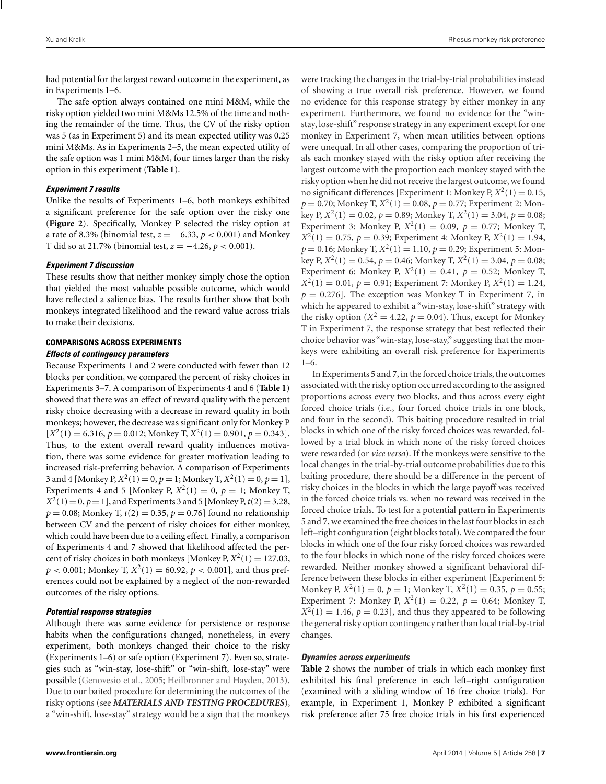had potential for the largest reward outcome in the experiment, as in Experiments 1–6.

The safe option always contained one mini M&M, while the risky option yielded two mini M&Ms 12.5% of the time and nothing the remainder of the time. Thus, the CV of the risky option was 5 (as in Experiment 5) and its mean expected utility was 0.25 mini M&Ms. As in Experiments 2–5, the mean expected utility of the safe option was 1 mini M&M, four times larger than the risky option in this experiment (**[Table 1](#page-3-0)**).

## *Experiment 7 results*

Unlike the results of Experiments 1–6, both monkeys exhibited a significant preference for the safe option over the risky one (**[Figure 2](#page-5-0)**). Specifically, Monkey P selected the risky option at a rate of 8.3% (binomial test, *z* = −6.33, *p* < 0.001) and Monkey T did so at 21.7% (binomial test, *z* = −4.26, *p* < 0.001).

### *Experiment 7 discussion*

These results show that neither monkey simply chose the option that yielded the most valuable possible outcome, which would have reflected a salience bias. The results further show that both monkeys integrated likelihood and the reward value across trials to make their decisions.

### **COMPARISONS ACROSS EXPERIMENTS** *Effects of contingency parameters*

Because Experiments 1 and 2 were conducted with fewer than 12 blocks per condition, we compared the percent of risky choices in Experiments 3–7. A comparison of Experiments 4 and 6 (**[Table 1](#page-3-0)**) showed that there was an effect of reward quality with the percent risky choice decreasing with a decrease in reward quality in both monkeys; however, the decrease was significant only for Monkey P  $[X^2(1) = 6.316, p = 0.012;$  Monkey T,  $X^2(1) = 0.901, p = 0.343$ . Thus, to the extent overall reward quality influences motivation, there was some evidence for greater motivation leading to increased risk-preferring behavior. A comparison of Experiments 3 and 4 [Monkey P,  $X^2(1) = 0$ ,  $p = 1$ ; Monkey T,  $X^2(1) = 0$ ,  $p = 1$ ], Experiments 4 and 5 [Monkey P,  $X^2(1) = 0$ ,  $p = 1$ ; Monkey T,  $X^2(1) = 0, p = 1$ , and Experiments 3 and 5 [Monkey P,  $t(2) = 3.28$ ,  $p = 0.08$ ; Monkey T,  $t(2) = 0.35$ ,  $p = 0.76$  found no relationship between CV and the percent of risky choices for either monkey, which could have been due to a ceiling effect. Finally, a comparison of Experiments 4 and 7 showed that likelihood affected the percent of risky choices in both monkeys [Monkey P,  $X^2(1) = 127.03$ ,  $p < 0.001$ ; Monkey T,  $X^2(1) = 60.92$ ,  $p < 0.001$ , and thus preferences could not be explained by a neglect of the non-rewarded outcomes of the risky options.

## *Potential response strategies*

Although there was some evidence for persistence or response habits when the configurations changed, nonetheless, in every experiment, both monkeys changed their choice to the risky (Experiments 1–6) or safe option (Experiment 7). Even so, strategies such as "win-stay, lose-shift" or "win-shift, lose-stay" were possible [\(Genovesio et al., 2005;](#page-11-0) [Heilbronner and Hayden, 2013](#page-11-0)). Due to our baited procedure for determining the outcomes of the risky options (see *MATERIALS AND TESTING PROCEDURES*), a "win-shift, lose-stay" strategy would be a sign that the monkeys were tracking the changes in the trial-by-trial probabilities instead of showing a true overall risk preference. However, we found no evidence for this response strategy by either monkey in any experiment. Furthermore, we found no evidence for the "winstay, lose-shift" response strategy in any experiment except for one monkey in Experiment 7, when mean utilities between options were unequal. In all other cases, comparing the proportion of trials each monkey stayed with the risky option after receiving the largest outcome with the proportion each monkey stayed with the risky option when he did not receive the largest outcome, we found no significant differences [Experiment 1: Monkey P,  $X^2(1) = 0.15$ ,  $p = 0.70$ ; Monkey T,  $X^2(1) = 0.08$ ,  $p = 0.77$ ; Experiment 2: Monkey P,  $X^2(1) = 0.02$ ,  $p = 0.89$ ; Monkey T,  $X^2(1) = 3.04$ ,  $p = 0.08$ ; Experiment 3: Monkey P,  $X^2(1) = 0.09$ ,  $p = 0.77$ ; Monkey T,  $X^2(1) = 0.75$ ,  $p = 0.39$ ; Experiment 4: Monkey P,  $X^2(1) = 1.94$ ,  $p = 0.16$ ; Monkey T,  $X^2(1) = 1.10$ ,  $p = 0.29$ ; Experiment 5: Monkey P,  $X^2(1) = 0.54$ ,  $p = 0.46$ ; Monkey T,  $X^2(1) = 3.04$ ,  $p = 0.08$ ; Experiment 6: Monkey P,  $X^2(1) = 0.41$ ,  $p = 0.52$ ; Monkey T,  $X^2(1) = 0.01$ ,  $p = 0.91$ ; Experiment 7: Monkey P,  $X^2(1) = 1.24$ ,  $p = 0.276$ ]. The exception was Monkey T in Experiment 7, in which he appeared to exhibit a "win-stay, lose-shift" strategy with the risky option ( $X^2 = 4.22$ ,  $p = 0.04$ ). Thus, except for Monkey T in Experiment 7, the response strategy that best reflected their choice behavior was "win-stay, lose-stay," suggesting that the monkeys were exhibiting an overall risk preference for Experiments  $1-6$ .

In Experiments 5 and 7, in the forced choice trials, the outcomes associated with the risky option occurred according to the assigned proportions across every two blocks, and thus across every eight forced choice trials (i.e., four forced choice trials in one block, and four in the second). This baiting procedure resulted in trial blocks in which one of the risky forced choices was rewarded, followed by a trial block in which none of the risky forced choices were rewarded (or *vice versa*). If the monkeys were sensitive to the local changes in the trial-by-trial outcome probabilities due to this baiting procedure, there should be a difference in the percent of risky choices in the blocks in which the large payoff was received in the forced choice trials vs. when no reward was received in the forced choice trials. To test for a potential pattern in Experiments 5 and 7, we examined the free choices in the last four blocks in each left–right configuration (eight blocks total). We compared the four blocks in which one of the four risky forced choices was rewarded to the four blocks in which none of the risky forced choices were rewarded. Neither monkey showed a significant behavioral difference between these blocks in either experiment [Experiment 5: Monkey P,  $X^2(1) = 0$ ,  $p = 1$ ; Monkey T,  $X^2(1) = 0.35$ ,  $p = 0.55$ ; Experiment 7: Monkey P,  $X^2(1) = 0.22$ ,  $p = 0.64$ ; Monkey T,  $X^2(1) = 1.46$ ,  $p = 0.23$ , and thus they appeared to be following the general risky option contingency rather than local trial-by-trial changes.

#### *Dynamics across experiments*

**[Table 2](#page-8-0)** shows the number of trials in which each monkey first exhibited his final preference in each left–right configuration (examined with a sliding window of 16 free choice trials). For example, in Experiment 1, Monkey P exhibited a significant risk preference after 75 free choice trials in his first experienced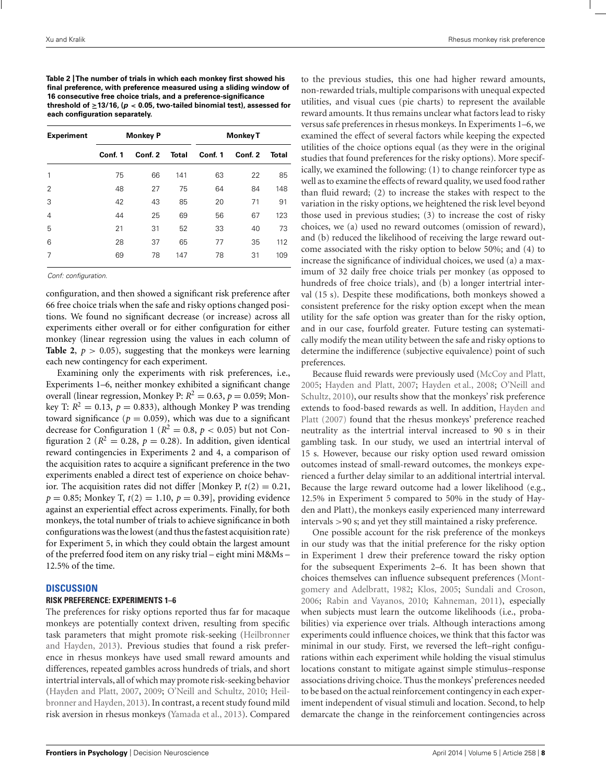<span id="page-8-0"></span>**Table 2 |The number of trials in which each monkey first showed his final preference, with preference measured using a sliding window of 16 consecutive free choice trials, and a preference-significance threshold of ≥13/16, (***p <* **0.05, two-tailed binomial test), assessed for each configuration separately.**

| <b>Experiment</b> | <b>Monkey P</b> |         |              | <b>Monkey T</b> |         |              |  |
|-------------------|-----------------|---------|--------------|-----------------|---------|--------------|--|
|                   | Conf. 1         | Conf. 2 | <b>Total</b> | Conf. 1         | Conf. 2 | <b>Total</b> |  |
| 1                 | 75              | 66      | 141          | 63              | 22      | 85           |  |
| $\overline{2}$    | 48              | 27      | 75           | 64              | 84      | 148          |  |
| 3                 | 42              | 43      | 85           | 20              | 71      | 91           |  |
| 4                 | 44              | 25      | 69           | 56              | 67      | 123          |  |
| 5                 | 21              | 31      | 52           | 33              | 40      | 73           |  |
| 6                 | 28              | 37      | 65           | 77              | 35      | 112          |  |
| 7                 | 69              | 78      | 147          | 78              | 31      | 109          |  |

Conf: configuration.

configuration, and then showed a significant risk preference after 66 free choice trials when the safe and risky options changed positions. We found no significant decrease (or increase) across all experiments either overall or for either configuration for either monkey (linear regression using the values in each column of **Table 2,**  $p > 0.05$ , suggesting that the monkeys were learning each new contingency for each experiment.

Examining only the experiments with risk preferences, i.e., Experiments 1–6, neither monkey exhibited a significant change overall (linear regression, Monkey P:  $R^2 = 0.63$ ,  $p = 0.059$ ; Monkey T:  $R^2 = 0.13$ ,  $p = 0.833$ ), although Monkey P was trending toward significance ( $p = 0.059$ ), which was due to a significant decrease for Configuration 1 ( $R^2 = 0.8$ ,  $p < 0.05$ ) but not Configuration 2 ( $R^2 = 0.28$ ,  $p = 0.28$ ). In addition, given identical reward contingencies in Experiments 2 and 4, a comparison of the acquisition rates to acquire a significant preference in the two experiments enabled a direct test of experience on choice behavior. The acquisition rates did not differ [Monkey P,  $t(2) = 0.21$ ,  $p = 0.85$ ; Monkey T,  $t(2) = 1.10$ ,  $p = 0.39$ ], providing evidence against an experiential effect across experiments. Finally, for both monkeys, the total number of trials to achieve significance in both configurations was the lowest (and thus the fastest acquisition rate) for Experiment 5, in which they could obtain the largest amount of the preferred food item on any risky trial – eight mini M&Ms – 12.5% of the time.

#### **DISCUSSION**

#### **RISK PREFERENCE: EXPERIMENTS 1–6**

The preferences for risky options reported thus far for macaque monkeys are potentially context driven, resulting from specific task parame[ters that might promote risk-seeking \(](#page-11-0)Heilbronner and Hayden, [2013\)](#page-11-0). Previous studies that found a risk preference in rhesus monkeys have used small reward amounts and differences, repeated gambles across hundreds of trials, and short intertrial intervals, all of which may promote risk-seeking behavior [\(Hayden and Platt](#page-11-0), [2007](#page-11-0), [2009;](#page-11-0) [O'Neill and Schultz, 2010;](#page-11-0) Heilbronner and Hayden, [2013\)](#page-11-0). In contrast, a recent study found mild risk aversion in rhesus monkeys [\(Yamada et al., 2013](#page-12-0)). Compared to the previous studies, this one had higher reward amounts, non-rewarded trials, multiple comparisons with unequal expected utilities, and visual cues (pie charts) to represent the available reward amounts. It thus remains unclear what factors lead to risky versus safe preferences in rhesus monkeys. In Experiments 1–6, we examined the effect of several factors while keeping the expected utilities of the choice options equal (as they were in the original studies that found preferences for the risky options). More specifically, we examined the following: (1) to change reinforcer type as well as to examine the effects of reward quality, we used food rather than fluid reward; (2) to increase the stakes with respect to the variation in the risky options, we heightened the risk level beyond those used in previous studies; (3) to increase the cost of risky choices, we (a) used no reward outcomes (omission of reward), and (b) reduced the likelihood of receiving the large reward outcome associated with the risky option to below 50%; and (4) to increase the significance of individual choices, we used (a) a maximum of 32 daily free choice trials per monkey (as opposed to hundreds of free choice trials), and (b) a longer intertrial interval (15 s). Despite these modifications, both monkeys showed a consistent preference for the risky option except when the mean utility for the safe option was greater than for the risky option, and in our case, fourfold greater. Future testing can systematically modify the mean utility between the safe and risky options to determine the indifference (subjective equivalence) point of such preferences.

Because fluid rewards were previously used [\(McCoy and Platt,](#page-11-0) [2005](#page-11-0); [Hayden and Platt, 2007;](#page-11-0) [Hayden et al.](#page-11-0), [2008;](#page-11-0) O'Neill and Schultz, [2010](#page-11-0)), our results show that the monkeys' risk preference exte[nds to food-based rewards as well. In addition,](#page-11-0) Hayden and Platt [\(2007\)](#page-11-0) found that the rhesus monkeys' preference reached neutrality as the intertrial interval increased to 90 s in their gambling task. In our study, we used an intertrial interval of 15 s. However, because our risky option used reward omission outcomes instead of small-reward outcomes, the monkeys experienced a further delay similar to an additional intertrial interval. Because the large reward outcome had a lower likelihood (e.g., 12.5% in Experiment 5 compared to 50% in the study of Hayden and Platt), the monkeys easily experienced many interreward intervals >90 s; and yet they still maintained a risky preference.

One possible account for the risk preference of the monkeys in our study was that the initial preference for the risky option in Experiment 1 drew their preference toward the risky option for the subsequent Experiments 2–6. It has been shown that choices themselves ca[n influence subsequent preferences \(](#page-11-0)Montgomery and Adelbratt, [1982](#page-11-0); [Klos, 2005](#page-11-0); [Sundali and Croson,](#page-11-0) [2006](#page-11-0); [Rabin and Vayanos](#page-11-0), [2010;](#page-11-0) [Kahneman, 2011](#page-11-0)), especially when subjects must learn the outcome likelihoods (i.e., probabilities) via experience over trials. Although interactions among experiments could influence choices, we think that this factor was minimal in our study. First, we reversed the left–right configurations within each experiment while holding the visual stimulus locations constant to mitigate against simple stimulus–response associations driving choice. Thus the monkeys' preferences needed to be based on the actual reinforcement contingency in each experiment independent of visual stimuli and location. Second, to help demarcate the change in the reinforcement contingencies across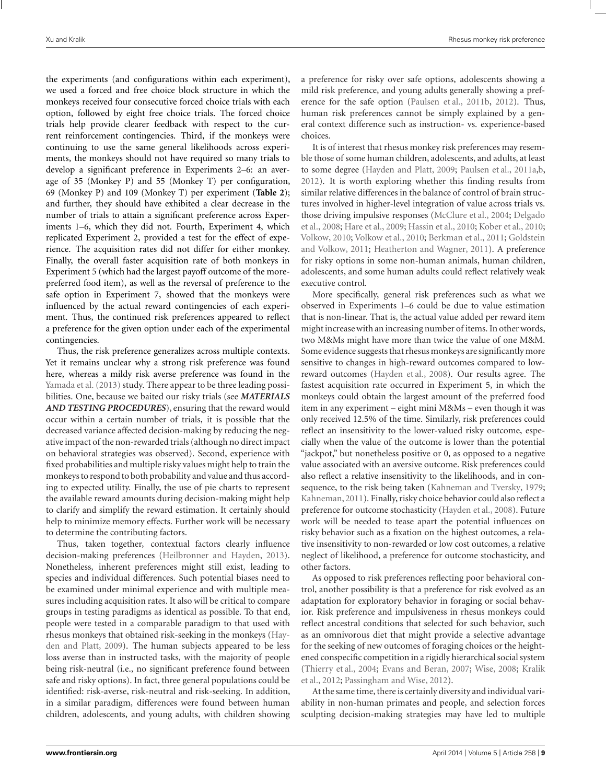the experiments (and configurations within each experiment), we used a forced and free choice block structure in which the monkeys received four consecutive forced choice trials with each option, followed by eight free choice trials. The forced choice trials help provide clearer feedback with respect to the current reinforcement contingencies. Third, if the monkeys were continuing to use the same general likelihoods across experiments, the monkeys should not have required so many trials to develop a significant preference in Experiments 2–6: an average of 35 (Monkey P) and 55 (Monkey T) per configuration, 69 (Monkey P) and 109 (Monkey T) per experiment (**[Table 2](#page-8-0)**); and further, they should have exhibited a clear decrease in the number of trials to attain a significant preference across Experiments 1–6, which they did not. Fourth, Experiment 4, which replicated Experiment 2, provided a test for the effect of experience. The acquisition rates did not differ for either monkey. Finally, the overall faster acquisition rate of both monkeys in Experiment 5 (which had the largest payoff outcome of the morepreferred food item), as well as the reversal of preference to the safe option in Experiment 7, showed that the monkeys were influenced by the actual reward contingencies of each experiment. Thus, the continued risk preferences appeared to reflect a preference for the given option under each of the experimental contingencies.

Thus, the risk preference generalizes across multiple contexts. Yet it remains unclear why a strong risk preference was found here, whereas a mildy risk averse preference was found in the [Yamada et al.](#page-12-0) [\(2013](#page-12-0)) study. There appear to be three leading possibilities. One, because we baited our risky trials (see *MATERIALS AND TESTING PROCEDURES*), ensuring that the reward would occur within a certain number of trials, it is possible that the decreased variance affected decision-making by reducing the negative impact of the non-rewarded trials (although no direct impact on behavioral strategies was observed). Second, experience with fixed probabilities and multiple risky values might help to train the monkeys to respond to both probability and value and thus according to expected utility. Finally, the use of pie charts to represent the available reward amounts during decision-making might help to clarify and simplify the reward estimation. It certainly should help to minimize memory effects. Further work will be necessary to determine the contributing factors.

Thus, taken together, contextual factors clearly influence decision-making preferences [\(Heilbronner and Hayden, 2013](#page-11-0)). Nonetheless, inherent preferences might still exist, leading to species and individual differences. Such potential biases need to be examined under minimal experience and with multiple measures including acquisition rates. It also will be critical to compare groups in testing paradigms as identical as possible. To that end, people were tested in a comparable paradigm to that used with rhesus monke[ys that obtained risk-seeking in the monkeys \(](#page-11-0)Hayden and Platt, [2009\)](#page-11-0). The human subjects appeared to be less loss averse than in instructed tasks, with the majority of people being risk-neutral (i.e., no significant preference found between safe and risky options). In fact, three general populations could be identified: risk-averse, risk-neutral and risk-seeking. In addition, in a similar paradigm, differences were found between human children, adolescents, and young adults, with children showing a preference for risky over safe options, adolescents showing a mild risk preference, and young adults generally showing a preference for the safe option [\(Paulsen et al., 2011b,](#page-11-0) [2012\)](#page-11-0). Thus, human risk preferences cannot be simply explained by a general context difference such as instruction- vs. experience-based choices.

It is of interest that rhesus monkey risk preferences may resemble those of some human children, adolescents, and adults, at least to some degree [\(Hayden and Platt, 2009;](#page-11-0) [Paulsen et al., 2011a,b,](#page-11-0) [2012](#page-11-0)). It is worth exploring whether this finding results from similar relative differences in the balance of control of brain structures involved in higher-level integration of value across trials vs. thos[e driving impulsive responses](#page-10-0) [\(McClure et al.](#page-11-0)[,](#page-10-0) [2004](#page-11-0)[;](#page-10-0) Delgado et al., [2008;](#page-10-0) [Hare et al.](#page-11-0), [2009](#page-11-0); [Hassin et al., 2010;](#page-11-0) [Kober et al., 2010;](#page-11-0) [Volkow](#page-12-0), [2010;](#page-12-0) [Volkow et al.](#page-12-0), [2010;](#page-12-0) [Berkman et al.](#page-10-0)[,](#page-11-0) [2011](#page-10-0)[;](#page-11-0) Goldstein and Volkow, [2011](#page-11-0); [Heatherton and Wagner, 2011\)](#page-11-0). A preference for risky options in some non-human animals, human children, adolescents, and some human adults could reflect relatively weak executive control.

More specifically, general risk preferences such as what we observed in Experiments 1–6 could be due to value estimation that is non-linear. That is, the actual value added per reward item might increase with an increasing number of items. In other words, two M&Ms might have more than twice the value of one M&M. Some evidence suggests that rhesus monkeys are significantly more sensitive to changes in high-reward outcomes compared to lowreward outcomes [\(Hayden et al.](#page-11-0), [2008](#page-11-0)). Our results agree. The fastest acquisition rate occurred in Experiment 5, in which the monkeys could obtain the largest amount of the preferred food item in any experiment – eight mini M&Ms – even though it was only received 12.5% of the time. Similarly, risk preferences could reflect an insensitivity to the lower-valued risky outcome, especially when the value of the outcome is lower than the potential "jackpot," but nonetheless positive or 0, as opposed to a negative value associated with an aversive outcome. Risk preferences could also reflect a relative insensitivity to the likelihoods, and in consequence, to the risk being taken [\(Kahneman and Tversky, 1979;](#page-11-0) [Kahneman,2011](#page-11-0)). Finally, risky choice behavior could also reflect a preference for outcome stochasticity [\(Hayden et al., 2008\)](#page-11-0). Future work will be needed to tease apart the potential influences on risky behavior such as a fixation on the highest outcomes, a relative insensitivity to non-rewarded or low cost outcomes, a relative neglect of likelihood, a preference for outcome stochasticity, and other factors.

As opposed to risk preferences reflecting poor behavioral control, another possibility is that a preference for risk evolved as an adaptation for exploratory behavior in foraging or social behavior. Risk preference and impulsiveness in rhesus monkeys could reflect ancestral conditions that selected for such behavior, such as an omnivorous diet that might provide a selective advantage for the seeking of new outcomes of foraging choices or the heightened conspecific competition in a rigidly hierarchical social system [\(Thierry et al.](#page-11-0), [2004](#page-11-0); [Evans and Beran, 2007;](#page-11-0) [Wise, 2008;](#page-12-0) Kralik et al., [2012;](#page-11-0) [Passingham and Wise](#page-11-0), [2012](#page-11-0)).

At the same time, there is certainly diversity and individual variability in non-human primates and people, and selection forces sculpting decision-making strategies may have led to multiple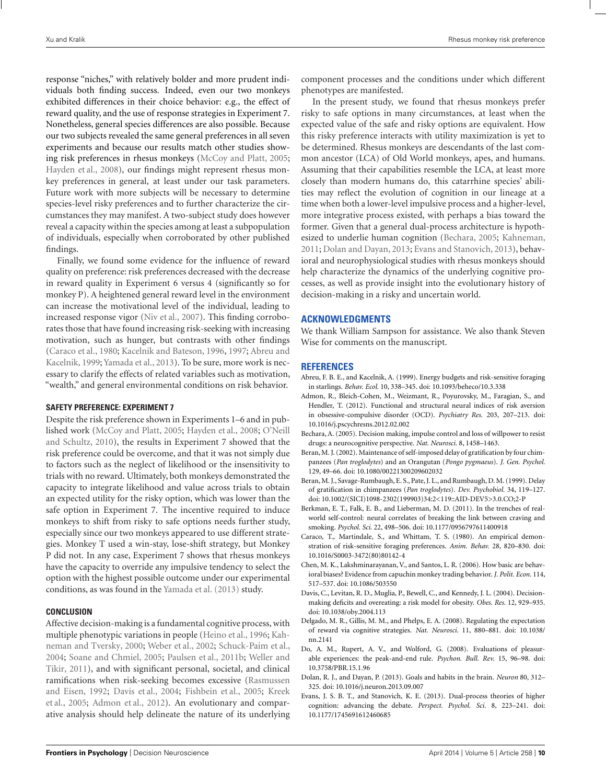<span id="page-10-0"></span>response "niches," with relatively bolder and more prudent individuals both finding success. Indeed, even our two monkeys exhibited differences in their choice behavior: e.g., the effect of reward quality, and the use of response strategies in Experiment 7. Nonetheless, general species differences are also possible. Because our two subjects revealed the same general preferences in all seven experiments and because our results match other studies showing risk preferences in rhesus monkeys [\(McCoy and Platt, 2005;](#page-11-0) [Hayden et al.](#page-11-0), [2008\)](#page-11-0), our findings might represent rhesus monkey preferences in general, at least under our task parameters. Future work with more subjects will be necessary to determine species-level risky preferences and to further characterize the circumstances they may manifest. A two-subject study does however reveal a capacity within the species among at least a subpopulation of individuals, especially when corroborated by other published findings.

Finally, we found some evidence for the influence of reward quality on preference: risk preferences decreased with the decrease in reward quality in Experiment 6 versus 4 (significantly so for monkey P). A heightened general reward level in the environment can increase the motivational level of the individual, leading to increased response vigor [\(Niv et al., 2007\)](#page-11-0). This finding corroborates those that have found increasing risk-seeking with increasing motivation, such as hunger, but contrasts with other findings (Caraco et al., 1980; [Kacelnik and Bateson](#page-11-0), [1996,](#page-11-0) [1997](#page-11-0); Abreu and Kacelnik, 1999; [Yamada et al., 2013\)](#page-12-0). To be sure, more work is necessary to clarify the effects of related variables such as motivation, "wealth," and general environmental conditions on risk behavior.

#### **SAFETY PREFERENCE: EXPERIMENT 7**

Despite the risk preference shown in Experiments 1–6 and in published work [\(McCoy and Platt, 2005;](#page-11-0) [Hayden et al., 2008;](#page-11-0) O'Neill and Schultz, [2010](#page-11-0)), the results in Experiment 7 showed that the risk preference could be overcome, and that it was not simply due to factors such as the neglect of likelihood or the insensitivity to trials with no reward. Ultimately, both monkeys demonstrated the capacity to integrate likelihood and value across trials to obtain an expected utility for the risky option, which was lower than the safe option in Experiment 7. The incentive required to induce monkeys to shift from risky to safe options needs further study, especially since our two monkeys appeared to use different strategies. Monkey T used a win-stay, lose-shift strategy, but Monkey P did not. In any case, Experiment 7 shows that rhesus monkeys have the capacity to override any impulsive tendency to select the option with the highest possible outcome under our experimental conditions, as was found in the [Yamada et al.](#page-12-0) [\(2013](#page-12-0)) study.

#### **CONCLUSION**

Affective decision-making is a fundamental cognitive process, with multiple phenotypi[c variations in people \(Heino et al., 1996;](#page-11-0) Kahneman and Tversky, [2000](#page-11-0); [Weber et al.](#page-12-0), [2002](#page-12-0); [Schuck-Paim et al.](#page-11-0), [2004;](#page-11-0) [Soane and Chmiel, 2005](#page-11-0)[;](#page-12-0) [Paulsen et al.](#page-11-0), [2011b](#page-11-0); Weller and Tikir, [2011](#page-12-0)), and with significant personal, societal, and clinical ramificati[ons when risk-seeking becomes excessive \(](#page-11-0)Rasmussen and Eisen, [1992](#page-11-0); Davis et al., 2004; [Fishbein et al., 2005;](#page-11-0) Kreek et al., [2005](#page-11-0); Admon et al., 2012). An evolutionary and comparative analysis should help delineate the nature of its underlying component processes and the conditions under which different phenotypes are manifested.

In the present study, we found that rhesus monkeys prefer risky to safe options in many circumstances, at least when the expected value of the safe and risky options are equivalent. How this risky preference interacts with utility maximization is yet to be determined. Rhesus monkeys are descendants of the last common ancestor (LCA) of Old World monkeys, apes, and humans. Assuming that their capabilities resemble the LCA, at least more closely than modern humans do, this catarrhine species' abilities may reflect the evolution of cognition in our lineage at a time when both a lower-level impulsive process and a higher-level, more integrative process existed, with perhaps a bias toward the former. Given that a general dual-process architecture is hypothesized to underlie human cognition (Bechara, 2005; [Kahneman,](#page-11-0) [2011](#page-11-0); Dolan and Dayan, 2013; Evans and Stanovich, 2013), behavioral and neurophysiological studies with rhesus monkeys should help characterize the dynamics of the underlying cognitive processes, as well as provide insight into the evolutionary history of decision-making in a risky and uncertain world.

## **ACKNOWLEDGMENTS**

We thank William Sampson for assistance. We also thank Steven Wise for comments on the manuscript.

## **REFERENCES**

- Abreu, F. B. E., and Kacelnik, A. (1999). Energy budgets and risk-sensitive foraging in starlings. *Behav. Ecol.* 10, 338–345. doi: 10.1093/beheco/10.3.338
- Admon, R., Bleich-Cohen, M., Weizmant, R., Poyurovsky, M., Faragian, S., and Hendler, T. (2012). Functional and structural neural indices of risk aversion in obsessive-compulsive disorder (OCD). *Psychiatry Res.* 203, 207–213. doi: 10.1016/j.pscychresns.2012.02.002
- Bechara, A. (2005). Decision making, impulse control and loss of willpower to resist drugs: a neurocognitive perspective. *Nat. Neurosci.* 8, 1458–1463.
- Beran,M. J. (2002). Maintenance of self-imposed delay of gratification by four chimpanzees (*Pan troglodytes*) and an Orangutan (*Pongo pygmaeus*). *J. Gen. Psychol.* 129, 49–66. doi: 10.1080/00221300209602032
- Beran,M. J., Savage-Rumbaugh, E. S., Pate, J. L., and Rumbaugh, D. M. (1999). Delay of gratification in chimpanzees (*Pan troglodytes*). *Dev. Psychobiol.* 34, 119–127. doi: 10.1002/(SICI)1098-2302(199903)34:2<119::AID-DEV5>3.0.CO;2-P
- Berkman, E. T., Falk, E. B., and Lieberman, M. D. (2011). In the trenches of realworld self-control: neural correlates of breaking the link between craving and smoking. *Psychol. Sci.* 22, 498–506. doi: 10.1177/0956797611400918
- Caraco, T., Martindale, S., and Whittam, T. S. (1980). An empirical demonstration of risk-sensitive foraging preferences. *Anim. Behav.* 28, 820–830. doi: 10.1016/S0003-3472(80)80142-4
- Chen, M. K., Lakshminarayanan, V., and Santos, L. R. (2006). How basic are behavioral biases? Evidence from capuchin monkey trading behavior. *J. Polit. Econ.* 114, 517–537. doi: 10.1086/503550
- Davis, C., Levitan, R. D., Muglia, P., Bewell, C., and Kennedy, J. L. (2004). Decisionmaking deficits and overeating: a risk model for obesity. *Obes. Res.* 12, 929–935. doi: 10.1038/oby.2004.113
- Delgado, M. R., Gillis, M. M., and Phelps, E. A. (2008). Regulating the expectation of reward via cognitive strategies. *Nat. Neurosci.* 11, 880–881. doi: 10.1038/ nn.2141
- Do, A. M., Rupert, A. V., and Wolford, G. (2008). Evaluations of pleasurable experiences: the peak-and-end rule. *Psychon. Bull. Rev.* 15, 96–98. doi: 10.3758/PBR.15.1.96
- Dolan, R. J., and Dayan, P. (2013). Goals and habits in the brain. *Neuron* 80, 312– 325. doi: 10.1016/j.neuron.2013.09.007
- Evans, J. S. B. T., and Stanovich, K. E. (2013). Dual-process theories of higher cognition: advancing the debate. *Perspect. Psychol. Sci.* 8, 223–241. doi: 10.1177/1745691612460685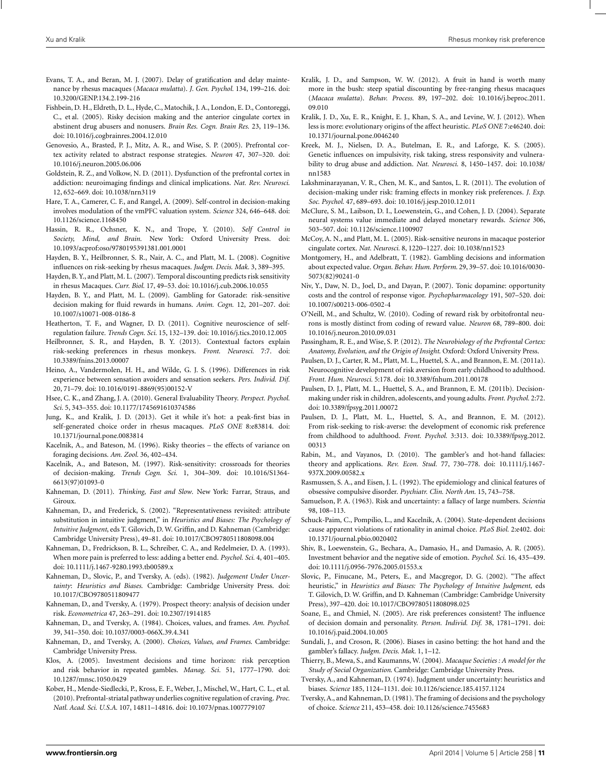- <span id="page-11-0"></span>Evans, T. A., and Beran, M. J. (2007). Delay of gratification and delay maintenance by rhesus macaques (*Macaca mulatta*). *J. Gen. Psychol.* 134, 199–216. doi: 10.3200/GENP.134.2.199-216
- Fishbein, D. H., Eldreth, D. L., Hyde, C., Matochik, J. A., London, E. D., Contoreggi, C., et al. (2005). Risky decision making and the anterior cingulate cortex in abstinent drug abusers and nonusers. *Brain Res. Cogn. Brain Res.* 23, 119–136. doi: 10.1016/j.cogbrainres.2004.12.010
- Genovesio, A., Brasted, P. J., Mitz, A. R., and Wise, S. P. (2005). Prefrontal cortex activity related to abstract response strategies. *Neuron* 47, 307–320. doi: 10.1016/j.neuron.2005.06.006
- Goldstein, R. Z., and Volkow, N. D. (2011). Dysfunction of the prefrontal cortex in addiction: neuroimaging findings and clinical implications. *Nat. Rev. Neurosci.* 12, 652–669. doi: 10.1038/nrn3119
- Hare, T. A., Camerer, C. F., and Rangel, A. (2009). Self-control in decision-making involves modulation of the vmPFC valuation system. *Science* 324, 646–648. doi: 10.1126/science.1168450
- Hassin, R. R., Ochsner, K. N., and Trope, Y. (2010). *Self Control in Society, Mind, and Brain*. New York: Oxford University Press. doi: 10.1093/acprof:oso/9780195391381.001.0001
- Hayden, B. Y., Heilbronner, S. R., Nair, A. C., and Platt, M. L. (2008). Cognitive influences on risk-seeking by rhesus macaques. *Judgm. Decis. Mak.* 3, 389–395.
- Hayden, B. Y., and Platt, M. L. (2007). Temporal discounting predicts risk sensitivity in rhesus Macaques. *Curr. Biol.* 17, 49–53. doi: 10.1016/j.cub.2006.10.055
- Hayden, B. Y., and Platt, M. L. (2009). Gambling for Gatorade: risk-sensitive decision making for fluid rewards in humans. *Anim. Cogn.* 12, 201–207. doi: 10.1007/s10071-008-0186-8
- Heatherton, T. F., and Wagner, D. D. (2011). Cognitive neuroscience of selfregulation failure. *Trends Cogn. Sci.* 15, 132–139. doi: 10.1016/j.tics.2010.12.005
- Heilbronner, S. R., and Hayden, B. Y. (2013). Contextual factors explain risk-seeking preferences in rhesus monkeys. *Front. Neurosci.* 7:7. doi: 10.3389/fnins.2013.00007
- Heino, A., Vandermolen, H. H., and Wilde, G. J. S. (1996). Differences in risk experience between sensation avoiders and sensation seekers. *Pers. Individ. Dif.* 20, 71–79. doi: 10.1016/0191-8869(95)00152-V
- Hsee, C. K., and Zhang, J. A. (2010). General Evaluability Theory. *Perspect. Psychol. Sci.* 5, 343–355. doi: 10.1177/1745691610374586
- Jung, K., and Kralik, J. D. (2013). Get it while it's hot: a peak-first bias in self-generated choice order in rhesus macaques. *PLoS ONE* 8:e83814. doi: 10.1371/journal.pone.0083814
- Kacelnik, A., and Bateson, M. (1996). Risky theories the effects of variance on foraging decisions. *Am. Zool.* 36, 402–434.
- Kacelnik, A., and Bateson, M. (1997). Risk-sensitivity: crossroads for theories of decision-making. *Trends Cogn. Sci.* 1, 304–309. doi: 10.1016/S1364- 6613(97)01093-0
- Kahneman, D. (2011). *Thinking, Fast and Slow*. New York: Farrar, Straus, and Giroux.
- Kahneman, D., and Frederick, S. (2002). "Representativeness revisited: attribute substitution in intuitive judgment," in *Heuristics and Biases: The Psychology of Intuitive Judgment*, eds T. Gilovich, D. W. Griffin, and D. Kahneman (Cambridge: Cambridge University Press), 49–81. doi: 10.1017/CBO9780511808098.004
- Kahneman, D., Fredrickson, B. L., Schreiber, C. A., and Redelmeier, D. A. (1993). When more pain is preferred to less: adding a better end. *Psychol. Sci.* 4, 401–405. doi: 10.1111/j.1467-9280.1993.tb00589.x
- Kahneman, D., Slovic, P., and Tversky, A. (eds). (1982). *Judgement Under Uncertainty*: *Heuristics and Biases*. Cambridge: Cambridge University Press. doi: 10.1017/CBO9780511809477
- Kahneman, D., and Tversky, A. (1979). Prospect theory: analysis of decision under risk. *Econometrica* 47, 263–291. doi: 10.2307/1914185
- Kahneman, D., and Tversky, A. (1984). Choices, values, and frames. *Am. Psychol.* 39, 341–350. doi: 10.1037/0003-066X.39.4.341
- Kahneman, D., and Tversky, A. (2000). *Choices, Values, and Frames*. Cambridge: Cambridge University Press.
- Klos, A. (2005). Investment decisions and time horizon: risk perception and risk behavior in repeated gambles. *Manag. Sci.* 51, 1777–1790. doi: 10.1287/mnsc.1050.0429
- Kober, H., Mende-Siedlecki, P., Kross, E. F., Weber, J., Mischel, W., Hart, C. L., et al. (2010). Prefrontal-striatal pathway underlies cognitive regulation of craving. *Proc. Natl. Acad. Sci. U.S.A.* 107, 14811–14816. doi: 10.1073/pnas.1007779107
- Kralik, J. D., and Sampson, W. W. (2012). A fruit in hand is worth many more in the bush: steep spatial discounting by free-ranging rhesus macaques (*Macaca mulatta*). *Behav. Process.* 89, 197–202. doi: 10.1016/j.beproc.2011. 09.010
- Kralik, J. D., Xu, E. R., Knight, E. J., Khan, S. A., and Levine, W. J. (2012). When less is more: evolutionary origins of the affect heuristic. *PLoS ONE* 7:e46240. doi: 10.1371/journal.pone.0046240
- Kreek, M. J., Nielsen, D. A., Butelman, E. R., and Laforge, K. S. (2005). Genetic influences on impulsivity, risk taking, stress responsivity and vulnerability to drug abuse and addiction. *Nat. Neurosci.* 8, 1450–1457. doi: 10.1038/ nn1583
- Lakshminarayanan, V. R., Chen, M. K., and Santos, L. R. (2011). The evolution of decision-making under risk: framing effects in monkey risk preferences. *J. Exp. Soc. Psychol.* 47, 689–693. doi: 10.1016/j.jesp.2010.12.011
- McClure, S. M., Laibson, D. I., Loewenstein, G., and Cohen, J. D. (2004). Separate neural systems value immediate and delayed monetary rewards. *Science* 306, 503–507. doi: 10.1126/science.1100907
- McCoy, A. N., and Platt, M. L. (2005). Risk-sensitive neurons in macaque posterior cingulate cortex. *Nat. Neurosci.* 8, 1220–1227. doi: 10.1038/nn1523
- Montgomery, H., and Adelbratt, T. (1982). Gambling decisions and information about expected value. *Organ. Behav. Hum. Perform.* 29, 39–57. doi: 10.1016/0030- 5073(82)90241-0
- Niv, Y., Daw, N. D., Joel, D., and Dayan, P. (2007). Tonic dopamine: opportunity costs and the control of response vigor. *Psychopharmacology* 191, 507–520. doi: 10.1007/s00213-006-0502-4
- O'Neill, M., and Schultz, W. (2010). Coding of reward risk by orbitofrontal neurons is mostly distinct from coding of reward value. *Neuron* 68, 789–800. doi: 10.1016/j.neuron.2010.09.031
- Passingham, R. E., and Wise, S. P. (2012). *The Neurobiology of the Prefrontal Cortex: Anatomy, Evolution, and the Origin of Insight*. Oxford: Oxford University Press.
- Paulsen, D. J., Carter, R. M., Platt, M. L., Huettel, S. A., and Brannon, E. M. (2011a). Neurocognitive development of risk aversion from early childhood to adulthood. *Front. Hum. Neurosci.* 5:178. doi: 10.3389/fnhum.2011.00178
- Paulsen, D. J., Platt, M. L., Huettel, S. A., and Brannon, E. M. (2011b). Decisionmaking under risk in children, adolescents, and young adults. *Front. Psychol.* 2:72. doi: 10.3389/fpsyg.2011.00072
- Paulsen, D. J., Platt, M. L., Huettel, S. A., and Brannon, E. M. (2012). From risk-seeking to risk-averse: the development of economic risk preference from childhood to adulthood. *Front. Psychol.* 3:313. doi: 10.3389/fpsyg.2012. 00313
- Rabin, M., and Vayanos, D. (2010). The gambler's and hot-hand fallacies: theory and applications. *Rev. Econ. Stud.* 77, 730–778. doi: 10.1111/j.1467- 937X.2009.00582.x
- Rasmussen, S. A., and Eisen, J. L. (1992). The epidemiology and clinical features of obsessive compulsive disorder. *Psychiatr. Clin. North Am.* 15, 743–758.
- Samuelson, P. A. (1963). Risk and uncertainty: a fallacy of large numbers. *Scientia* 98, 108–113.
- Schuck-Paim, C., Pompilio, L., and Kacelnik, A. (2004). State-dependent decisions cause apparent violations of rationality in animal choice. *PLoS Biol.* 2:e402. doi: 10.1371/journal.pbio.0020402
- Shiv, B., Loewenstein, G., Bechara, A., Damasio, H., and Damasio, A. R. (2005). Investment behavior and the negative side of emotion. *Psychol. Sci.* 16, 435–439. doi: 10.1111/j.0956-7976.2005.01553.x
- Slovic, P., Finucane, M., Peters, E., and Macgregor, D. G. (2002). "The affect heuristic," in *Heuristics and Biases: The Psychology of Intuitive Judgment*, eds T. Gilovich, D. W. Griffin, and D. Kahneman (Cambridge: Cambridge University Press), 397–420. doi: 10.1017/CBO9780511808098.025
- Soane, E., and Chmiel, N. (2005). Are risk preferences consistent? The influence of decision domain and personality. *Person. Individ. Dif.* 38, 1781–1791. doi: 10.1016/j.paid.2004.10.005
- Sundali, J., and Croson, R. (2006). Biases in casino betting: the hot hand and the gambler's fallacy. *Judgm. Decis. Mak.* 1, 1–12.
- Thierry, B., Mewa, S., and Kaumanns, W. (2004). *Macaque Societies : A model for the Study of Social Organization*. Cambridge: Cambridge University Press.
- Tversky, A., and Kahneman, D. (1974). Judgment under uncertainty: heuristics and biases. *Science* 185, 1124–1131. doi: 10.1126/science.185.4157.1124
- Tversky, A., and Kahneman, D. (1981). The framing of decisions and the psychology of choice. *Science* 211, 453–458. doi: 10.1126/science.7455683